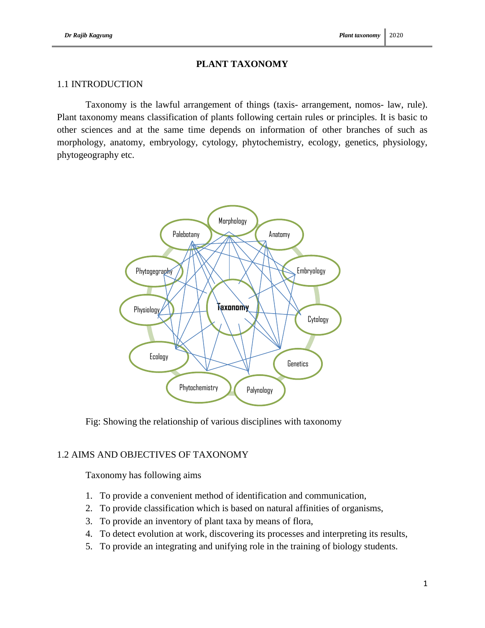# **PLANT TAXONOMY**

### 1.1 INTRODUCTION

Taxonomy is the lawful arrangement of things (taxis- arrangement, nomos- law, rule). Plant taxonomy means classification of plants following certain rules or principles. It is basic to other sciences and at the same time depends on information of other branches of such as morphology, anatomy, embryology, cytology, phytochemistry, ecology, genetics, physiology, phytogeography etc.



Fig: Showing the relationship of various disciplines with taxonomy

# 1.2 AIMS AND OBJECTIVES OF TAXONOMY

Taxonomy has following aims

- 1. To provide a convenient method of identification and communication,
- 2. To provide classification which is based on natural affinities of organisms,
- 3. To provide an inventory of plant taxa by means of flora,
- 4. To detect evolution at work, discovering its processes and interpreting its results,
- 5. To provide an integrating and unifying role in the training of biology students.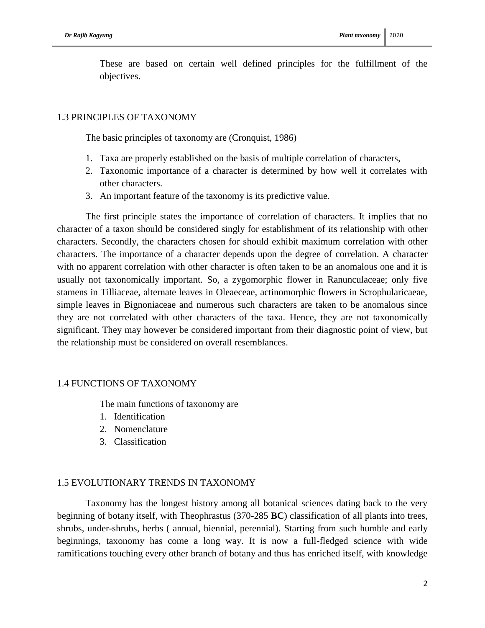These are based on certain well defined principles for the fulfillment of the objectives.

### 1.3 PRINCIPLES OF TAXONOMY

The basic principles of taxonomy are (Cronquist, 1986)

- 1. Taxa are properly established on the basis of multiple correlation of characters,
- 2. Taxonomic importance of a character is determined by how well it correlates with other characters.
- 3. An important feature of the taxonomy is its predictive value.

The first principle states the importance of correlation of characters. It implies that no character of a taxon should be considered singly for establishment of its relationship with other characters. Secondly, the characters chosen for should exhibit maximum correlation with other characters. The importance of a character depends upon the degree of correlation. A character with no apparent correlation with other character is often taken to be an anomalous one and it is usually not taxonomically important. So, a zygomorphic flower in Ranunculaceae; only five stamens in Tilliaceae, alternate leaves in Oleaeceae, actinomorphic flowers in Scrophularicaeae, simple leaves in Bignoniaceae and numerous such characters are taken to be anomalous since they are not correlated with other characters of the taxa. Hence, they are not taxonomically significant. They may however be considered important from their diagnostic point of view, but the relationship must be considered on overall resemblances.

#### 1.4 FUNCTIONS OF TAXONOMY

The main functions of taxonomy are

- 1. Identification
- 2. Nomenclature
- 3. Classification

#### 1.5 EVOLUTIONARY TRENDS IN TAXONOMY

Taxonomy has the longest history among all botanical sciences dating back to the very beginning of botany itself, with Theophrastus (370-285 **BC**) classification of all plants into trees, shrubs, under-shrubs, herbs ( annual, biennial, perennial). Starting from such humble and early beginnings, taxonomy has come a long way. It is now a full-fledged science with wide ramifications touching every other branch of botany and thus has enriched itself, with knowledge